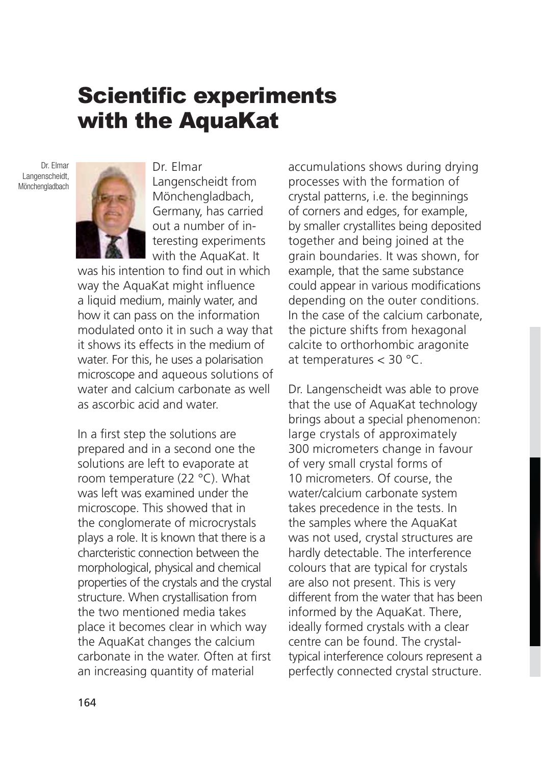# Scientific experiments with the AquaKat

Dr. Elmar Langenscheidt, **Mönchengladbach** 



Dr. Elmar Langenscheidt from Mönchengladbach, Germany, has carried out a number of interesting experiments with the AquaKat. It

was his intention to find out in which way the AquaKat might influence a liquid medium, mainly water, and how it can pass on the information modulated onto it in such a way that it shows its effects in the medium of water. For this, he uses a polarisation microscope and aqueous solutions of water and calcium carbonate as well as ascorbic acid and water.

In a first step the solutions are prepared and in a second one the solutions are left to evaporate at room temperature (22 °C). What was left was examined under the microscope. This showed that in the conglomerate of microcrystals plays a role. It is known that there is a charcteristic connection between the morphological, physical and chemical properties of the crystals and the crystal structure. When crystallisation from the two mentioned media takes place it becomes clear in which way the AquaKat changes the calcium carbonate in the water. Often at first an increasing quantity of material

accumulations shows during drying processes with the formation of crystal patterns, i.e. the beginnings of corners and edges, for example, by smaller crystallites being deposited together and being joined at the grain boundaries. It was shown, for example, that the same substance could appear in various modifications depending on the outer conditions. In the case of the calcium carbonate, the picture shifts from hexagonal calcite to orthorhombic aragonite at temperatures < 30 °C.

Dr. Langenscheidt was able to prove that the use of AquaKat technology brings about a special phenomenon: large crystals of approximately 300 micrometers change in favour of very small crystal forms of 10 micrometers. Of course, the water/calcium carbonate system takes precedence in the tests. In the samples where the AquaKat was not used, crystal structures are hardly detectable. The interference colours that are typical for crystals are also not present. This is very different from the water that has been informed by the AquaKat. There, ideally formed crystals with a clear centre can be found. The crystaltypical interference colours represent a perfectly connected crystal structure.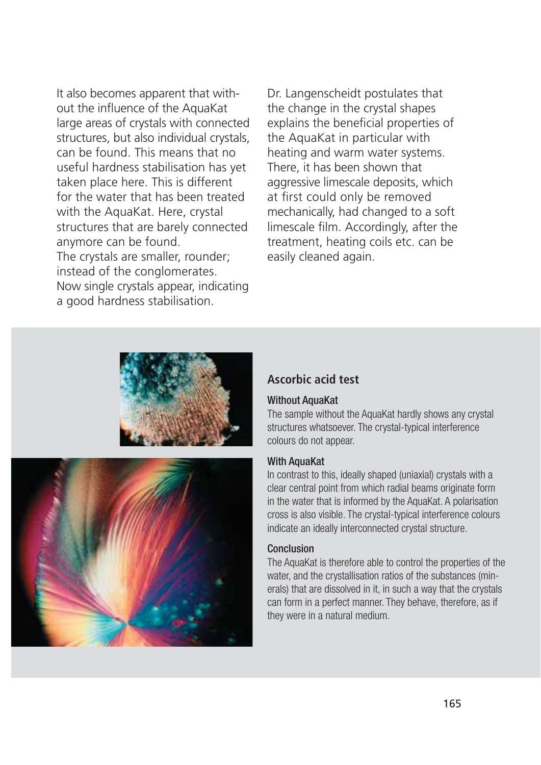It also becomes apparent that without the influence of the AquaKat large areas of crystals with connected structures, but also individual crystals, can be found. This means that no useful hardness stabilisation has yet taken place here. This is different for the water that has been treated with the AquaKat. Here, crystal structures that are barely connected anymore can be found. The crystals are smaller, rounder; instead of the conglomerates. Now single crystals appear, indicating a good hardness stabilisation.

Dr. Langenscheidt postulates that the change in the crystal shapes explains the beneficial properties of the AquaKat in particular with heating and warm water systems. There, it has been shown that aggressive limescale deposits, which at first could only be removed mechanically, had changed to a soft limescale film. Accordingly, after the treatment, heating coils etc. can be easily cleaned again.





### **Ascorbic acid test**

#### Without AquaKat

The sample without the AquaKat hardly shows any crystal structures whatsoever. The crystal-typical interference colours do not appear.

#### With AquaKat

In contrast to this, ideally shaped (uniaxial) crystals with a clear central point from which radial beams originate form in the water that is informed by the AquaKat. A polarisation cross is also visible. The crystal-typical interference colours indicate an ideally interconnected crystal structure.

#### Conclusion

The AquaKat is therefore able to control the properties of the water, and the crystallisation ratios of the substances (minerals) that are dissolved in it, in such a way that the crystals can form in a perfect manner. They behave, therefore, as if they were in a natural medium.